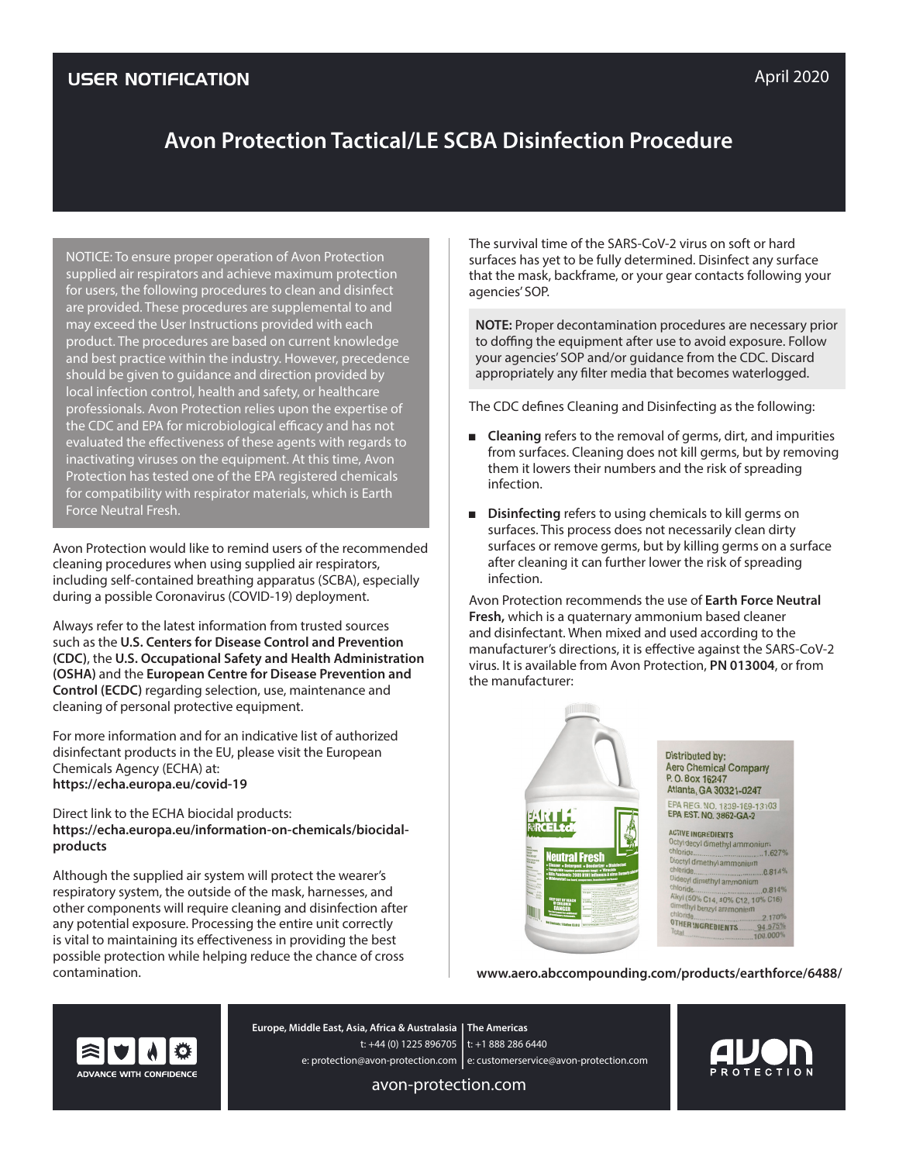# **Avon Protection Tactical/LE SCBA Disinfection Procedure**

NOTICE: To ensure proper operation of Avon Protection supplied air respirators and achieve maximum protection for users, the following procedures to clean and disinfect are provided. These procedures are supplemental to and may exceed the User Instructions provided with each product. The procedures are based on current knowledge and best practice within the industry. However, precedence should be given to guidance and direction provided by local infection control, health and safety, or healthcare professionals. Avon Protection relies upon the expertise of the CDC and EPA for microbiological efficacy and has not evaluated the effectiveness of these agents with regards to inactivating viruses on the equipment. At this time, Avon Protection has tested one of the EPA registered chemicals for compatibility with respirator materials, which is Earth Force Neutral Fresh.

Avon Protection would like to remind users of the recommended cleaning procedures when using supplied air respirators, including self-contained breathing apparatus (SCBA), especially during a possible Coronavirus (COVID-19) deployment.

Always refer to the latest information from trusted sources such as the **U.S. Centers for Disease Control and Prevention (CDC)**, the **U.S. Occupational Safety and Health Administration (OSHA)** and the **European Centre for Disease Prevention and Control (ECDC)** regarding selection, use, maintenance and cleaning of personal protective equipment.

For more information and for an indicative list of authorized disinfectant products in the EU, please visit the European Chemicals Agency (ECHA) at: **https://echa.europa.eu/covid-19**

Direct link to the ECHA biocidal products: **https://echa.europa.eu/information-on-chemicals/biocidalproducts**

Although the supplied air system will protect the wearer's respiratory system, the outside of the mask, harnesses, and other components will require cleaning and disinfection after any potential exposure. Processing the entire unit correctly is vital to maintaining its effectiveness in providing the best possible protection while helping reduce the chance of cross contamination.

The survival time of the SARS-CoV-2 virus on soft or hard surfaces has yet to be fully determined. Disinfect any surface that the mask, backframe, or your gear contacts following your agencies' SOP.

**NOTE:** Proper decontamination procedures are necessary prior to doffing the equipment after use to avoid exposure. Follow your agencies' SOP and/or guidance from the CDC. Discard appropriately any filter media that becomes waterlogged.

The CDC defines Cleaning and Disinfecting as the following:

- **Cleaning** refers to the removal of germs, dirt, and impurities from surfaces. Cleaning does not kill germs, but by removing them it lowers their numbers and the risk of spreading infection.
- **Disinfecting** refers to using chemicals to kill germs on surfaces. This process does not necessarily clean dirty surfaces or remove germs, but by killing germs on a surface after cleaning it can further lower the risk of spreading infection.

Avon Protection recommends the use of **Earth Force Neutral Fresh,** which is a quaternary ammonium based cleaner and disinfectant. When mixed and used according to the manufacturer's directions, it is effective against the SARS-CoV-2 virus. It is available from Avon Protection, **PN 013004**, or from the manufacturer:



**www.aero.abccompounding.com/products/earthforce/6488/**



**The Americas Europe, Middle East, Asia, Africa & Australasia** t: +44 (0) 1225 896705 | t: +1 888 286 6440 e: protection@avon-protection.com | e: customerservice@avon-protection.com

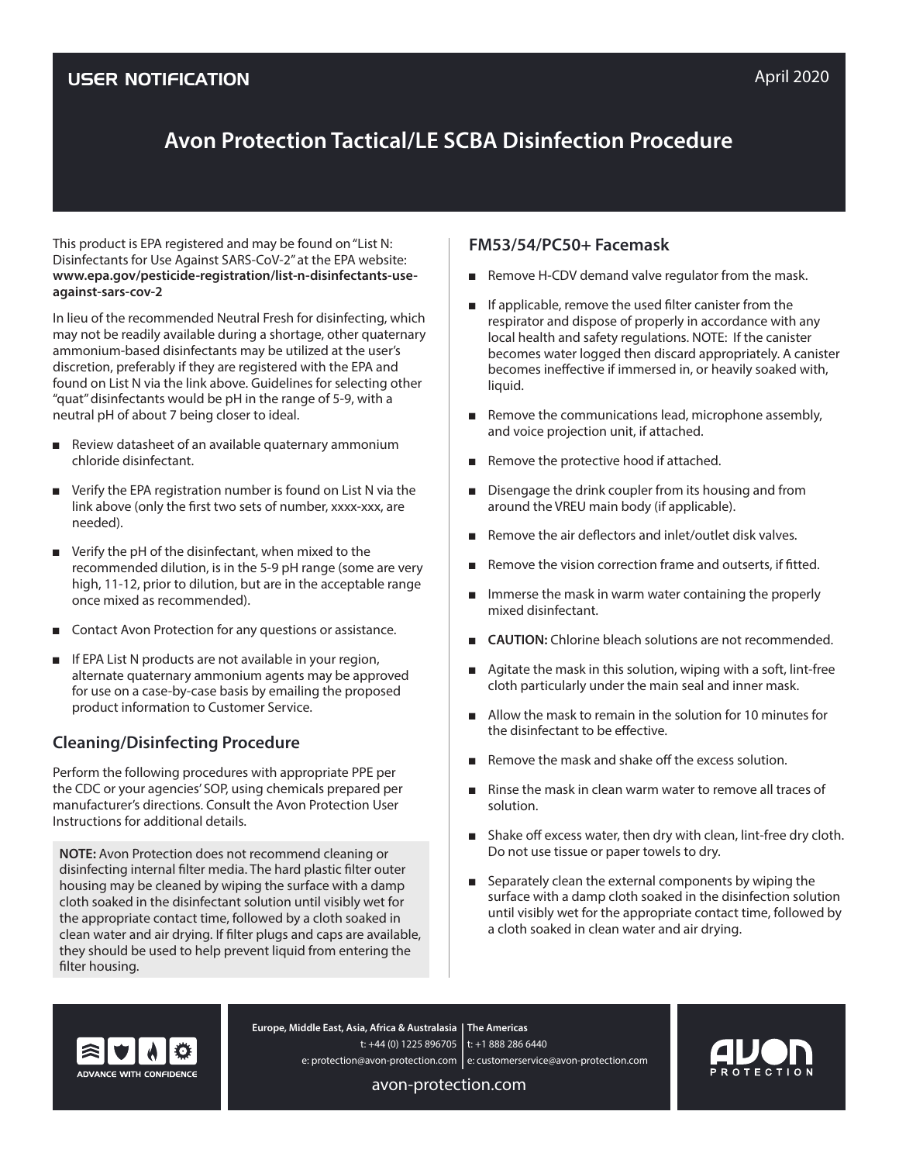# **Avon Protection Tactical/LE SCBA Disinfection Procedure**

This product is EPA registered and may be found on "List N: Disinfectants for Use Against SARS-CoV-2" at the EPA website: **www.epa.gov/pesticide-registration/list-n-disinfectants-useagainst-sars-cov-2**

In lieu of the recommended Neutral Fresh for disinfecting, which may not be readily available during a shortage, other quaternary ammonium-based disinfectants may be utilized at the user's discretion, preferably if they are registered with the EPA and found on List N via the link above. Guidelines for selecting other "quat" disinfectants would be pH in the range of 5-9, with a neutral pH of about 7 being closer to ideal.

- Review datasheet of an available quaternary ammonium chloride disinfectant.
- Verify the EPA registration number is found on List N via the link above (only the first two sets of number, xxxx-xxx, are needed).
- Verify the pH of the disinfectant, when mixed to the recommended dilution, is in the 5-9 pH range (some are very high, 11-12, prior to dilution, but are in the acceptable range once mixed as recommended).
- Contact Avon Protection for any questions or assistance.
- If EPA List N products are not available in your region, alternate quaternary ammonium agents may be approved for use on a case-by-case basis by emailing the proposed product information to Customer Service.

## **Cleaning/Disinfecting Procedure**

Perform the following procedures with appropriate PPE per the CDC or your agencies' SOP, using chemicals prepared per manufacturer's directions. Consult the Avon Protection User Instructions for additional details.

**NOTE:** Avon Protection does not recommend cleaning or disinfecting internal filter media. The hard plastic filter outer housing may be cleaned by wiping the surface with a damp cloth soaked in the disinfectant solution until visibly wet for the appropriate contact time, followed by a cloth soaked in clean water and air drying. If filter plugs and caps are available, they should be used to help prevent liquid from entering the filter housing.

### **FM53/54/PC50+ Facemask**

- Remove H-CDV demand valve regulator from the mask.
- If applicable, remove the used filter canister from the respirator and dispose of properly in accordance with any local health and safety regulations. NOTE: If the canister becomes water logged then discard appropriately. A canister becomes ineffective if immersed in, or heavily soaked with, liquid.
- Remove the communications lead, microphone assembly, and voice projection unit, if attached.
- Remove the protective hood if attached.
- Disengage the drink coupler from its housing and from around the VREU main body (if applicable).
- Remove the air deflectors and inlet/outlet disk valves.
- Remove the vision correction frame and outserts, if fitted.
- Immerse the mask in warm water containing the properly mixed disinfectant.
- **CAUTION:** Chlorine bleach solutions are not recommended.
- Agitate the mask in this solution, wiping with a soft, lint-free cloth particularly under the main seal and inner mask.
- Allow the mask to remain in the solution for 10 minutes for the disinfectant to be effective.
- Remove the mask and shake off the excess solution.
- Rinse the mask in clean warm water to remove all traces of solution.
- Shake off excess water, then dry with clean, lint-free dry cloth. Do not use tissue or paper towels to dry.
- Separately clean the external components by wiping the surface with a damp cloth soaked in the disinfection solution until visibly wet for the appropriate contact time, followed by a cloth soaked in clean water and air drying.



**The Americas Europe, Middle East, Asia, Africa & Australasia** t: +44 (0) 1225 896705 | t: +1 888 286 6440 e: protection@avon-protection.com | e: customerservice@avon-protection.com

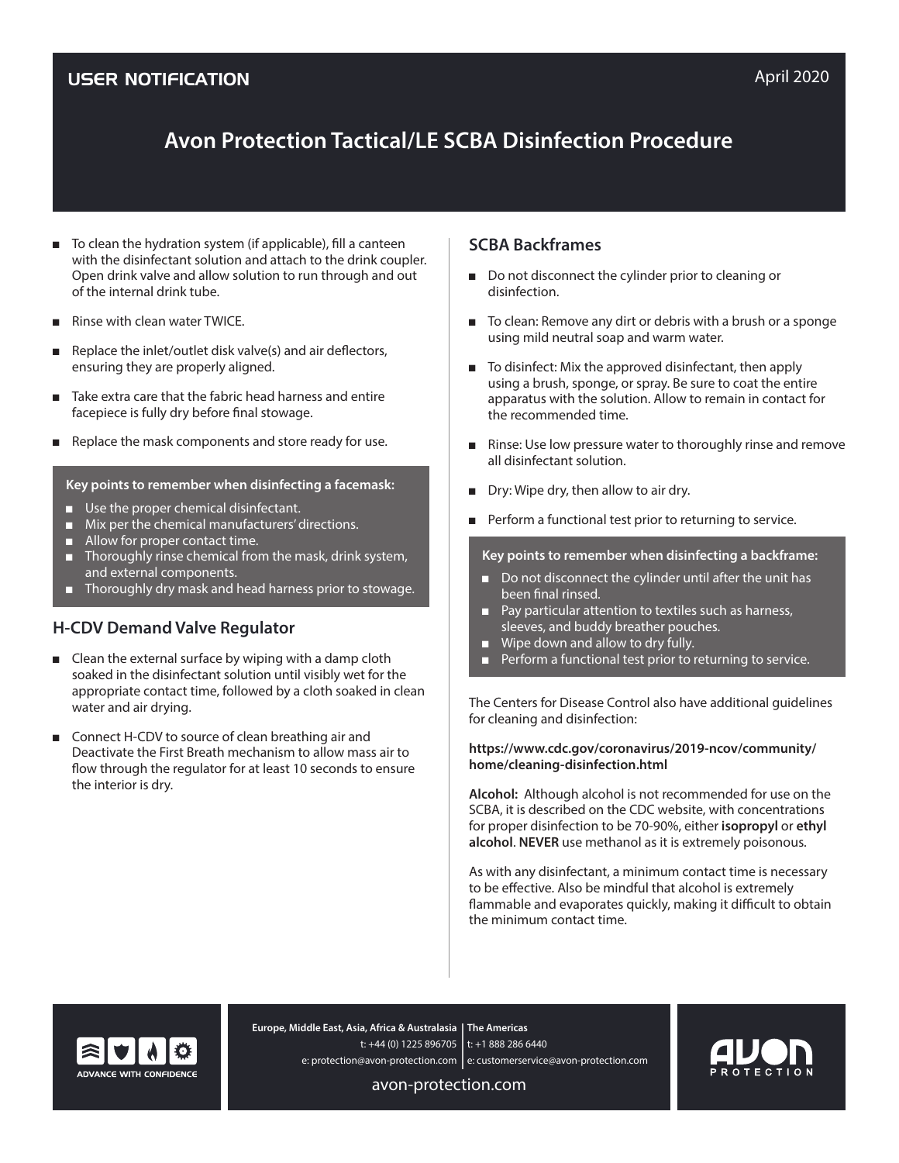# **Avon Protection Tactical/LE SCBA Disinfection Procedure**

- To clean the hydration system (if applicable), fill a canteen with the disinfectant solution and attach to the drink coupler. Open drink valve and allow solution to run through and out of the internal drink tube.
- **Rinse with clean water TWICE.**
- Replace the inlet/outlet disk valve $(s)$  and air deflectors, ensuring they are properly aligned.
- Take extra care that the fabric head harness and entire facepiece is fully dry before final stowage.
- Replace the mask components and store ready for use.

#### **Key points to remember when disinfecting a facemask:**

- Use the proper chemical disinfectant.
- Mix per the chemical manufacturers' directions.
- Allow for proper contact time.
- Thoroughly rinse chemical from the mask, drink system, and external components.
- Thoroughly dry mask and head harness prior to stowage.

### **H-CDV Demand Valve Regulator**

- Clean the external surface by wiping with a damp cloth soaked in the disinfectant solution until visibly wet for the appropriate contact time, followed by a cloth soaked in clean water and air drying.
- Connect H-CDV to source of clean breathing air and Deactivate the First Breath mechanism to allow mass air to flow through the regulator for at least 10 seconds to ensure the interior is dry.

### **SCBA Backframes**

- Do not disconnect the cylinder prior to cleaning or disinfection.
- To clean: Remove any dirt or debris with a brush or a sponge using mild neutral soap and warm water.
- To disinfect: Mix the approved disinfectant, then apply using a brush, sponge, or spray. Be sure to coat the entire apparatus with the solution. Allow to remain in contact for the recommended time.
- Rinse: Use low pressure water to thoroughly rinse and remove all disinfectant solution.
- Dry: Wipe dry, then allow to air dry.
- Perform a functional test prior to returning to service.

#### **Key points to remember when disinfecting a backframe:**

- Do not disconnect the cylinder until after the unit has been final rinsed.
- Pay particular attention to textiles such as harness, sleeves, and buddy breather pouches.
- Wipe down and allow to dry fully.
- Perform a functional test prior to returning to service.

The Centers for Disease Control also have additional guidelines for cleaning and disinfection:

#### **https://www.cdc.gov/coronavirus/2019-ncov/community/ home/cleaning-disinfection.html**

**Alcohol:** Although alcohol is not recommended for use on the SCBA, it is described on the CDC website, with concentrations for proper disinfection to be 70-90%, either **isopropyl** or **ethyl alcohol**. **NEVER** use methanol as it is extremely poisonous.

As with any disinfectant, a minimum contact time is necessary to be effective. Also be mindful that alcohol is extremely flammable and evaporates quickly, making it difficult to obtain the minimum contact time.



**The Americas Europe, Middle East, Asia, Africa & Australasia** t: +44 (0) 1225 896705 | t: +1 888 286 6440 e: protection@avon-protection.com | e: customerservice@avon-protection.com